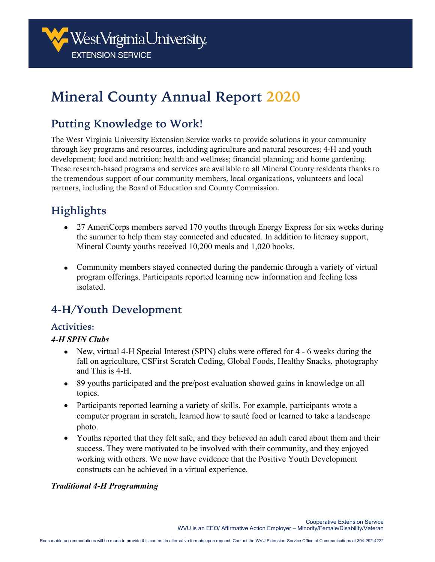

# **Mineral County Annual Report 2020**

### **Putting Knowledge to Work!**

The West Virginia University Extension Service works to provide solutions in your community through key programs and resources, including agriculture and natural resources; 4-H and youth development; food and nutrition; health and wellness; financial planning; and home gardening. These research-based programs and services are available to all Mineral County residents thanks to the tremendous support of our community members, local organizations, volunteers and local partners, including the Board of Education and County Commission.

## **Highlights**

- 27 AmeriCorps members served 170 youths through Energy Express for six weeks during the summer to help them stay connected and educated. In addition to literacy support, Mineral County youths received 10,200 meals and 1,020 books.
- Community members stayed connected during the pandemic through a variety of virtual program offerings. Participants reported learning new information and feeling less isolated.

### **4-H/Youth Development**

### **Activities:**

### *4-H SPIN Clubs*

- New, virtual 4-H Special Interest (SPIN) clubs were offered for 4 6 weeks during the fall on agriculture, CSFirst Scratch Coding, Global Foods, Healthy Snacks, photography and This is 4-H.
- 89 youths participated and the pre/post evaluation showed gains in knowledge on all topics.
- Participants reported learning a variety of skills. For example, participants wrote a computer program in scratch, learned how to sauté food or learned to take a landscape photo.
- Youths reported that they felt safe, and they believed an adult cared about them and their success. They were motivated to be involved with their community, and they enjoyed working with others. We now have evidence that the Positive Youth Development constructs can be achieved in a virtual experience.

### *Traditional 4-H Programming*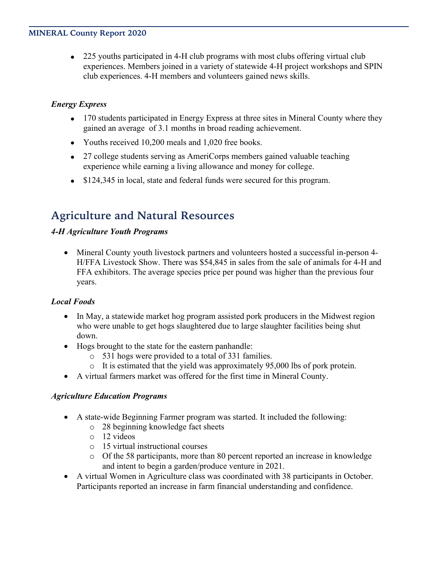#### **MINERAL County Report 2020**

• 225 youths participated in 4-H club programs with most clubs offering virtual club experiences. Members joined in a variety of statewide 4-H project workshops and SPIN club experiences. 4-H members and volunteers gained news skills.

### *Energy Express*

- 170 students participated in Energy Express at three sites in Mineral County where they gained an average of 3.1 months in broad reading achievement.
- Youths received 10,200 meals and 1,020 free books.
- 27 college students serving as AmeriCorps members gained valuable teaching experience while earning a living allowance and money for college.
- \$124,345 in local, state and federal funds were secured for this program.

### **Agriculture and Natural Resources**

### *4-H Agriculture Youth Programs*

• Mineral County youth livestock partners and volunteers hosted a successful in-person 4-H/FFA Livestock Show. There was \$54,845 in sales from the sale of animals for 4-H and FFA exhibitors. The average species price per pound was higher than the previous four years.

### *Local Foods*

- In May, a statewide market hog program assisted pork producers in the Midwest region who were unable to get hogs slaughtered due to large slaughter facilities being shut down.
- Hogs brought to the state for the eastern panhandle:
	- o 531 hogs were provided to a total of 331 families.
	- o It is estimated that the yield was approximately 95,000 lbs of pork protein.
- A virtual farmers market was offered for the first time in Mineral County.

### *Agriculture Education Programs*

- A state-wide Beginning Farmer program was started. It included the following:
	- o 28 beginning knowledge fact sheets
	- o 12 videos
	- o 15 virtual instructional courses
	- o Of the 58 participants, more than 80 percent reported an increase in knowledge and intent to begin a garden/produce venture in 2021.
- A virtual Women in Agriculture class was coordinated with 38 participants in October. Participants reported an increase in farm financial understanding and confidence.